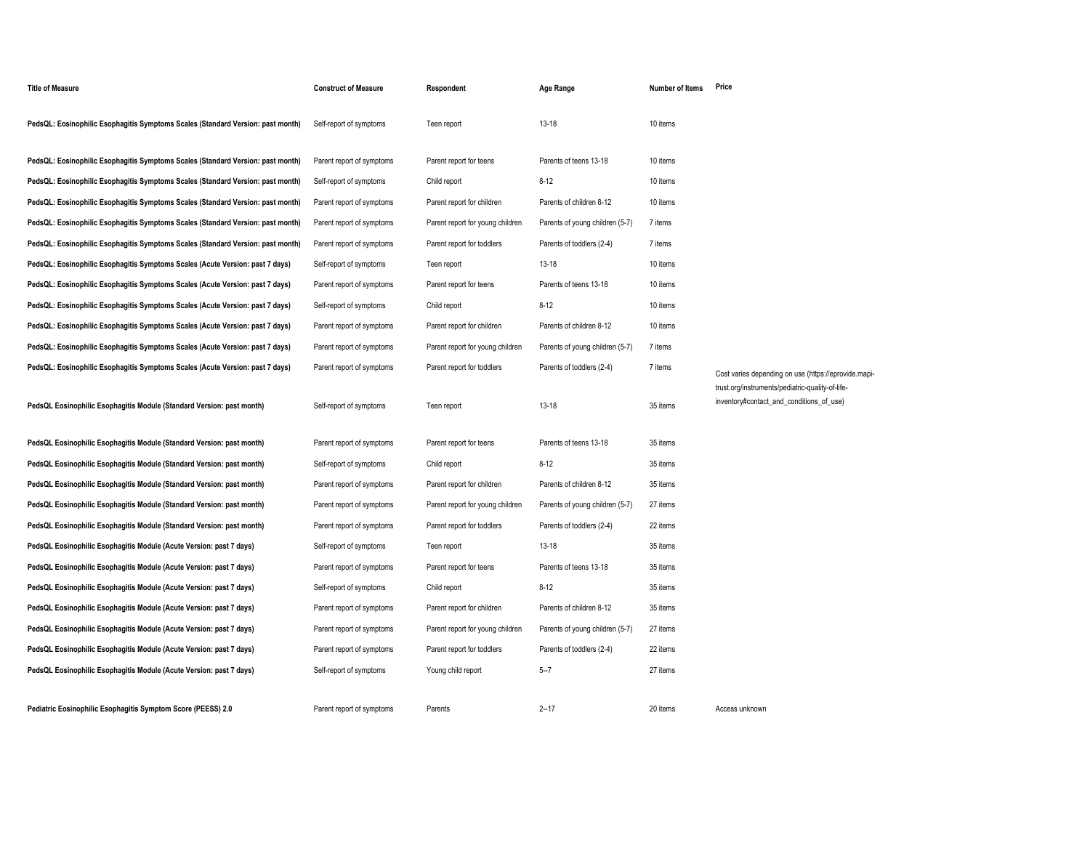| <b>Title of Measure</b>                                                         | <b>Construct of Measure</b> | Respondent                       | Age Range                       | <b>Number of Items</b> | Price                                                                                        |
|---------------------------------------------------------------------------------|-----------------------------|----------------------------------|---------------------------------|------------------------|----------------------------------------------------------------------------------------------|
| PedsQL: Eosinophilic Esophagitis Symptoms Scales (Standard Version: past month) | Self-report of symptoms     | Teen report                      | $13 - 18$                       | 10 items               |                                                                                              |
| PedsQL: Eosinophilic Esophagitis Symptoms Scales (Standard Version: past month) | Parent report of symptoms   | Parent report for teens          | Parents of teens 13-18          | 10 items               |                                                                                              |
| PedsQL: Eosinophilic Esophagitis Symptoms Scales (Standard Version: past month) | Self-report of symptoms     | Child report                     | $8 - 12$                        | 10 items               |                                                                                              |
| PedsQL: Eosinophilic Esophagitis Symptoms Scales (Standard Version: past month) | Parent report of symptoms   | Parent report for children       | Parents of children 8-12        | 10 items               |                                                                                              |
| PedsQL: Eosinophilic Esophagitis Symptoms Scales (Standard Version: past month) | Parent report of symptoms   | Parent report for young children | Parents of young children (5-7) | 7 items                |                                                                                              |
| PedsQL: Eosinophilic Esophagitis Symptoms Scales (Standard Version: past month) | Parent report of symptoms   | Parent report for toddlers       | Parents of toddlers (2-4)       | 7 items                |                                                                                              |
| PedsQL: Eosinophilic Esophagitis Symptoms Scales (Acute Version: past 7 days)   | Self-report of symptoms     | Teen report                      | $13 - 18$                       | 10 items               |                                                                                              |
| PedsQL: Eosinophilic Esophagitis Symptoms Scales (Acute Version: past 7 days)   | Parent report of symptoms   | Parent report for teens          | Parents of teens 13-18          | 10 items               |                                                                                              |
| PedsQL: Eosinophilic Esophagitis Symptoms Scales (Acute Version: past 7 days)   | Self-report of symptoms     | Child report                     | $8 - 12$                        | 10 items               |                                                                                              |
| PedsQL: Eosinophilic Esophagitis Symptoms Scales (Acute Version: past 7 days)   | Parent report of symptoms   | Parent report for children       | Parents of children 8-12        | 10 items               |                                                                                              |
| PedsQL: Eosinophilic Esophagitis Symptoms Scales (Acute Version: past 7 days)   | Parent report of symptoms   | Parent report for young children | Parents of young children (5-7) | 7 items                |                                                                                              |
| PedsQL: Eosinophilic Esophagitis Symptoms Scales (Acute Version: past 7 days)   | Parent report of symptoms   | Parent report for toddlers       | Parents of toddlers (2-4)       | 7 items                | Cost varies depending on use (https://eprovide.mapi-                                         |
| PedsQL Eosinophilic Esophagitis Module (Standard Version: past month)           | Self-report of symptoms     | Teen report                      | $13 - 18$                       | 35 items               | trust.org/instruments/pediatric-quality-of-life-<br>inventory#contact_and_conditions_of_use) |
| PedsQL Eosinophilic Esophagitis Module (Standard Version: past month)           | Parent report of symptoms   | Parent report for teens          | Parents of teens 13-18          | 35 items               |                                                                                              |
| PedsQL Eosinophilic Esophagitis Module (Standard Version: past month)           | Self-report of symptoms     | Child report                     | $8 - 12$                        | 35 items               |                                                                                              |
| PedsQL Eosinophilic Esophagitis Module (Standard Version: past month)           | Parent report of symptoms   | Parent report for children       | Parents of children 8-12        | 35 items               |                                                                                              |
| PedsQL Eosinophilic Esophagitis Module (Standard Version: past month)           | Parent report of symptoms   | Parent report for young children | Parents of young children (5-7) | 27 items               |                                                                                              |
| PedsQL Eosinophilic Esophagitis Module (Standard Version: past month)           | Parent report of symptoms   | Parent report for toddlers       | Parents of toddlers (2-4)       | 22 items               |                                                                                              |
| PedsQL Eosinophilic Esophagitis Module (Acute Version: past 7 days)             | Self-report of symptoms     | Teen report                      | $13 - 18$                       | 35 items               |                                                                                              |
| PedsQL Eosinophilic Esophagitis Module (Acute Version: past 7 days)             | Parent report of symptoms   | Parent report for teens          | Parents of teens 13-18          | 35 items               |                                                                                              |
| PedsQL Eosinophilic Esophagitis Module (Acute Version: past 7 days)             | Self-report of symptoms     | Child report                     | $8 - 12$                        | 35 items               |                                                                                              |
| PedsQL Eosinophilic Esophagitis Module (Acute Version: past 7 days)             | Parent report of symptoms   | Parent report for children       | Parents of children 8-12        | 35 items               |                                                                                              |
| PedsQL Eosinophilic Esophagitis Module (Acute Version: past 7 days)             | Parent report of symptoms   | Parent report for young children | Parents of young children (5-7) | 27 items               |                                                                                              |
| PedsQL Eosinophilic Esophagitis Module (Acute Version: past 7 days)             | Parent report of symptoms   | Parent report for toddlers       | Parents of toddlers (2-4)       | 22 items               |                                                                                              |
| PedsQL Eosinophilic Esophagitis Module (Acute Version: past 7 days)             | Self-report of symptoms     | Young child report               | $5 - 7$                         | 27 items               |                                                                                              |
| Pediatric Eosinophilic Esophagitis Symptom Score (PEESS) 2.0                    | Parent report of symptoms   | Parents                          | $2 - 17$                        | 20 items               | Access unknown                                                                               |